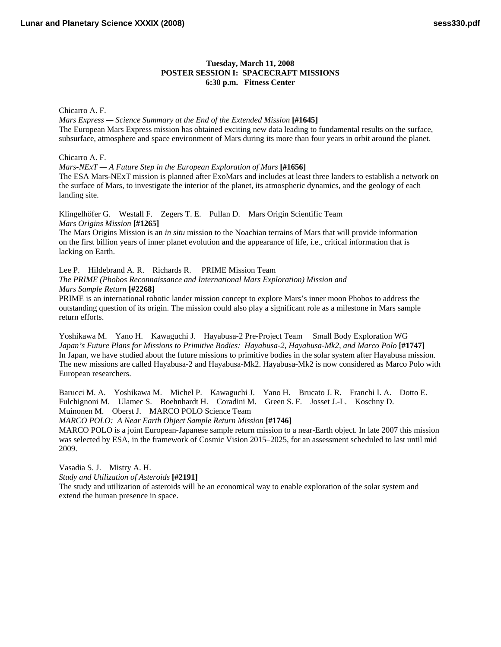## **Tuesday, March 11, 2008 POSTER SESSION I: SPACECRAFT MISSIONS 6:30 p.m. Fitness Center**

Chicarro A. F.

*Mars Express — Science Summary at the End of the Extended Mission* **[#1645]** [The European Mars Express mission has obtained exciting new data leading to fundamental results on the surface,](http://www.lpi.usra.edu/meetings/lpsc2008/pdf/1645.pdf)  subsurface, atmosphere and space environment of Mars during its more than four years in orbit around the planet.

Chicarro A. F.

*Mars-NExT — A Future Step in the European Exploration of Mars* **[#1656]**

[The ESA Mars-NExT mission is planned after ExoMars and includes at least three landers to establish a network on](http://www.lpi.usra.edu/meetings/lpsc2008/pdf/1656.pdf)  the surface of Mars, to investigate the interior of the planet, its atmospheric dynamics, and the geology of each landing site.

Klingelhöfer G. Westall F. Zegers T. E. Pullan D. Mars Origin Scientific Team *Mars Origins Mission* **[#1265]**

The Mars Origins Mission is an *in situ* mission to the Noachian terrains of Mars that will provide information [on the first billion years of inner planet evolution and the appearance of life, i.e., critical information that is](http://www.lpi.usra.edu/meetings/lpsc2008/pdf/1265.pdf)  lacking on Earth.

Lee P. Hildebrand A. R. Richards R. PRIME Mission Team *The PRIME (Phobos Reconnaissance and International Mars Exploration) Mission and Mars Sample Return* **[#2268]**

PRIME is an international robotic lander mission concept to explore Mars's inner moon Phobos to address the [outstanding question of its origin. The mission could also play a significant role as a milestone in Mars sample](http://www.lpi.usra.edu/meetings/lpsc2008/pdf/2268.pdf)  return efforts.

Yoshikawa M. Yano H. Kawaguchi J. Hayabusa-2 Pre-Project Team Small Body Exploration WG *Japan's Future Plans for Missions to Primitive Bodies: Hayabusa-2, Hayabusa-Mk2, and Marco Polo* **[#1747]** In Japan, we have studied about the future missions to primitive bodies in the solar system after Hayabusa mission. [The new missions are called Hayabusa-2 and Hayabusa-Mk2. Hayabusa-Mk2 is now considered as Marco Polo with](http://www.lpi.usra.edu/meetings/lpsc2008/pdf/1747.pdf)  European researchers.

Barucci M. A. Yoshikawa M. Michel P. Kawaguchi J. Yano H. Brucato J. R. Franchi I. A. Dotto E. Fulchignoni M. Ulamec S. Boehnhardt H. Coradini M. Green S. F. Josset J.-L. Koschny D. Muinonen M. Oberst J. MARCO POLO Science Team

*MARCO POLO: A Near Earth Object Sample Return Mission* **[#1746]**

[MARCO POLO is a joint European-Japanese sample return mission to a near-Earth object. In late 2007 this mission](http://www.lpi.usra.edu/meetings/lpsc2008/pdf/1746.pdf)  was selected by ESA, in the framework of Cosmic Vision 2015–2025, for an assessment scheduled to last until mid 2009.

Vasadia S. J. Mistry A. H.

*Study and Utilization of Asteroids* **[#2191]**

[The study and utilization of asteroids will be an economical way to enable exploration of the solar system and](http://www.lpi.usra.edu/meetings/lpsc2008/pdf/2191.pdf)  extend the human presence in space.